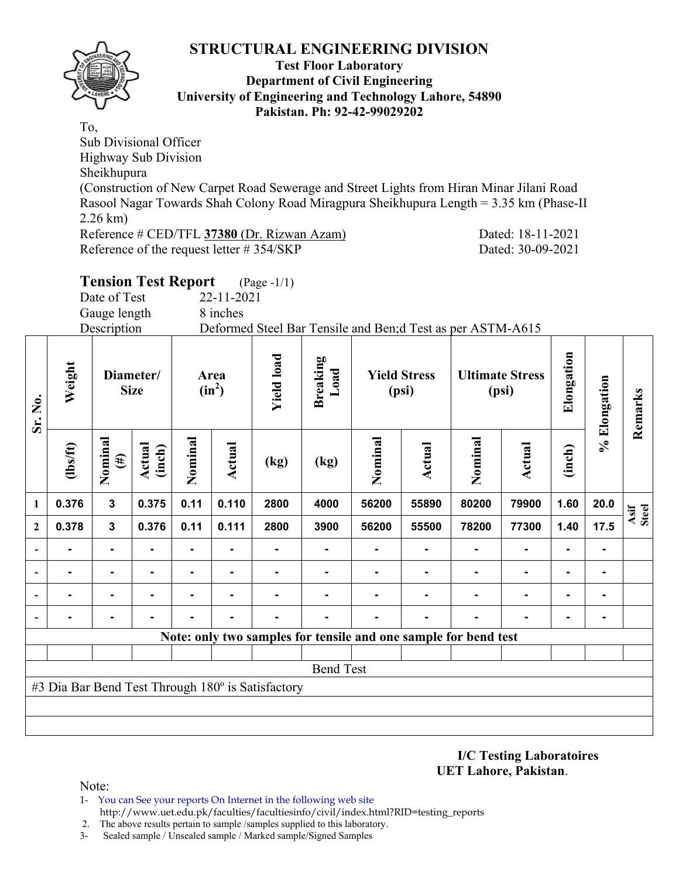

#### **Test Floor Laboratory Department of Civil Engineering University of Engineering and Technology Lahore, 54890 Pakistan. Ph: 92-42-99029202**

To, Sub Divisional Officer Highway Sub Division Sheikhupura (Construction of New Carpet Road Sewerage and Street Lights from Hiran Minar Jilani Road Rasool Nagar Towards Shah Colony Road Miragpura Sheikhupura Length = 3.35 km (Phase-II 2.26 km) Reference # CED/TFL **37380** (Dr. Rizwan Azam) Dated: 18-11-2021 Reference of the request letter # 354/SKP Dated: 30-09-2021

|        | <b>Tension Test Report</b> |                  | $(Page - 1/1)$ |                 |                                                             |                                 |                |  |
|--------|----------------------------|------------------|----------------|-----------------|-------------------------------------------------------------|---------------------------------|----------------|--|
|        | Date of Test               | $22 - 11 - 2021$ |                |                 |                                                             |                                 |                |  |
|        | Gauge length               | 8 inches         |                |                 |                                                             |                                 |                |  |
|        | Description                |                  |                |                 | Deformed Steel Bar Tensile and Ben; d Test as per ASTM-A615 |                                 |                |  |
| Weight | Diameter/<br><b>Size</b>   | Area<br>$(in^2)$ | load<br>Yield  | Breaking<br>oad | <b>Yield Stress</b><br>(psi)                                | <b>Ultimate Stress</b><br>(psi) | longation<br>Ξ |  |

|          |                   |                  |                                   |                | <b>Yield le</b>  | $\textsf{Loa}$<br><b>Breaki</b> |                                                   |                  |                              |                | Elongat                                                                                            |      | Remarks       |
|----------|-------------------|------------------|-----------------------------------|----------------|------------------|---------------------------------|---------------------------------------------------|------------------|------------------------------|----------------|----------------------------------------------------------------------------------------------------|------|---------------|
| (1bs/ft) | Nominal<br>$(\#)$ | Actual<br>(inch) | Nominal                           | <b>Actual</b>  | (kg)             | (kg)                            | Nominal                                           | <b>Actual</b>    | Nominal                      | <b>Actual</b>  | (inch)                                                                                             |      |               |
| 0.376    | $\mathbf{3}$      | 0.375            | 0.11                              | 0.110          | 2800             | 4000                            | 56200                                             | 55890            | 80200                        | 79900          | 1.60                                                                                               | 20.0 | Asif<br>Steel |
| 0.378    | $\mathbf{3}$      | 0.376            | 0.11                              | 0.111          | 2800             | 3900                            | 56200                                             | 55500            | 78200                        | 77300          | 1.40                                                                                               | 17.5 |               |
|          | ۰                 | $\blacksquare$   | $\blacksquare$                    |                |                  |                                 |                                                   |                  |                              | $\blacksquare$ |                                                                                                    |      |               |
|          |                   | $\blacksquare$   |                                   | $\blacksquare$ |                  |                                 |                                                   |                  |                              | $\blacksquare$ | ٠                                                                                                  |      |               |
|          | ۰.                | $\blacksquare$   | $\blacksquare$                    | $\blacksquare$ |                  |                                 |                                                   |                  |                              | $\blacksquare$ | ۰                                                                                                  |      |               |
|          |                   | $\blacksquare$   |                                   |                |                  |                                 |                                                   |                  |                              |                |                                                                                                    |      |               |
|          |                   |                  |                                   |                |                  |                                 |                                                   |                  |                              |                |                                                                                                    |      |               |
|          |                   |                  |                                   |                |                  |                                 |                                                   |                  |                              |                |                                                                                                    |      |               |
|          |                   |                  |                                   |                |                  |                                 |                                                   |                  |                              |                |                                                                                                    |      |               |
|          |                   |                  |                                   |                |                  |                                 |                                                   |                  |                              |                |                                                                                                    |      |               |
|          |                   |                  |                                   |                |                  |                                 |                                                   |                  |                              |                |                                                                                                    |      |               |
|          |                   |                  | Weigl<br>Diameter/<br><b>Size</b> |                | Area<br>$(in^2)$ |                                 | #3 Dia Bar Bend Test Through 180° is Satisfactory | <b>Bend Test</b> | <b>Yield Stress</b><br>(psi) |                | <b>Ultimate Stress</b><br>(psi)<br>Note: only two samples for tensile and one sample for bend test |      | % Elongation  |

**I/C Testing Laboratoires UET Lahore, Pakistan**.

Note:

- 1- You can See your reports On Internet in the following web site http://www.uet.edu.pk/faculties/facultiesinfo/civil/index.html?RID=testing\_reports
- 2. The above results pertain to sample /samples supplied to this laboratory.
- 3- Sealed sample / Unsealed sample / Marked sample/Signed Samples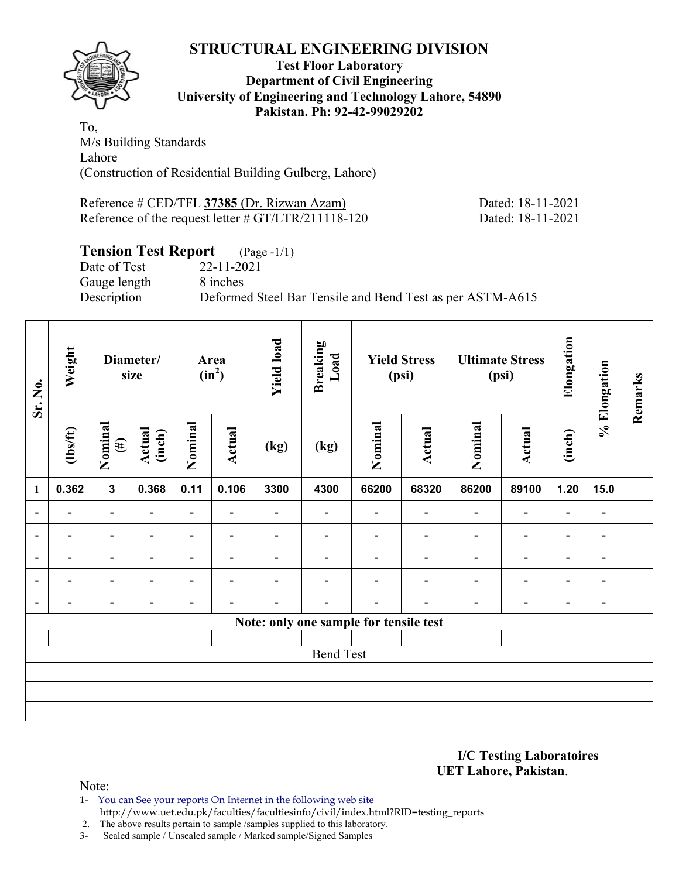

#### **Test Floor Laboratory Department of Civil Engineering University of Engineering and Technology Lahore, 54890 Pakistan. Ph: 92-42-99029202**

To, M/s Building Standards Lahore (Construction of Residential Building Gulberg, Lahore)

Reference # CED/TFL **37385** (Dr. Rizwan Azam) Dated: 18-11-2021 Reference of the request letter # GT/LTR/211118-120 Dated: 18-11-2021

# **Tension Test Report** (Page -1/1)

Date of Test 22-11-2021 Gauge length 8 inches

Description Deformed Steel Bar Tensile and Bend Test as per ASTM-A615

| Sr. No.                  | Weight                   |                          | Diameter/<br>size        |                          | Area<br>$(in^2)$         | <b>Yield load</b>        | <b>Breaking</b><br>Load  |                                        | <b>Yield Stress</b><br>(psi) |                          | <b>Ultimate Stress</b><br>(psi) | Elongation               | % Elongation                 | Remarks |
|--------------------------|--------------------------|--------------------------|--------------------------|--------------------------|--------------------------|--------------------------|--------------------------|----------------------------------------|------------------------------|--------------------------|---------------------------------|--------------------------|------------------------------|---------|
|                          | $\frac{2}{10}$           | Nominal<br>$(\#)$        | Actual<br>(inch)         | Nominal                  | <b>Actual</b>            | (kg)                     | (kg)                     | Nominal                                | Actual                       | Nominal                  | Actual                          | (inch)                   |                              |         |
| $\mathbf{1}$             | 0.362                    | $\mathbf{3}$             | 0.368                    | 0.11                     | 0.106                    | 3300                     | 4300                     | 66200                                  | 68320                        | 86200                    | 89100                           | 1.20                     | 15.0                         |         |
|                          | $\overline{\phantom{0}}$ | $\overline{\phantom{0}}$ |                          | $\overline{\phantom{0}}$ |                          |                          |                          |                                        | $\overline{\phantom{0}}$     | $\overline{\phantom{0}}$ | $\overline{\phantom{0}}$        | $\overline{\phantom{0}}$ |                              |         |
|                          | $\blacksquare$           | $\overline{\phantom{a}}$ |                          | $\overline{\phantom{0}}$ | ۰                        | $\overline{\phantom{0}}$ |                          |                                        | $\blacksquare$               | $\overline{\phantom{0}}$ | $\overline{a}$                  | $\overline{\phantom{a}}$ |                              |         |
| $\overline{\phantom{0}}$ | $\overline{\phantom{0}}$ | $\overline{\phantom{a}}$ | $\overline{\phantom{0}}$ | $\overline{\phantom{0}}$ | $\blacksquare$           | $\overline{\phantom{0}}$ | $\overline{\phantom{0}}$ |                                        | $\overline{\phantom{0}}$     | $\overline{\phantom{0}}$ | $\qquad \qquad \blacksquare$    | $\overline{\phantom{a}}$ | $\blacksquare$               |         |
|                          | $\blacksquare$           | $\overline{\phantom{0}}$ |                          | $\overline{\phantom{0}}$ | $\overline{\phantom{0}}$ |                          |                          |                                        |                              | $\blacksquare$           | $\overline{\phantom{0}}$        | $\overline{\phantom{0}}$ | $\qquad \qquad \blacksquare$ |         |
| $\blacksquare$           | $\overline{\phantom{0}}$ | $\overline{\phantom{0}}$ |                          | $\overline{\phantom{a}}$ | ٠                        |                          | -                        |                                        |                              | ٠                        | $\qquad \qquad \blacksquare$    | $\overline{\phantom{a}}$ | $\blacksquare$               |         |
|                          |                          |                          |                          |                          |                          |                          |                          | Note: only one sample for tensile test |                              |                          |                                 |                          |                              |         |
|                          |                          |                          |                          |                          |                          |                          |                          |                                        |                              |                          |                                 |                          |                              |         |
|                          | <b>Bend Test</b>         |                          |                          |                          |                          |                          |                          |                                        |                              |                          |                                 |                          |                              |         |
|                          |                          |                          |                          |                          |                          |                          |                          |                                        |                              |                          |                                 |                          |                              |         |
|                          |                          |                          |                          |                          |                          |                          |                          |                                        |                              |                          |                                 |                          |                              |         |
|                          |                          |                          |                          |                          |                          |                          |                          |                                        |                              |                          |                                 |                          |                              |         |

**I/C Testing Laboratoires UET Lahore, Pakistan**.

Note:

- 1- You can See your reports On Internet in the following web site
	- http://www.uet.edu.pk/faculties/facultiesinfo/civil/index.html?RID=testing\_reports

2. The above results pertain to sample /samples supplied to this laboratory.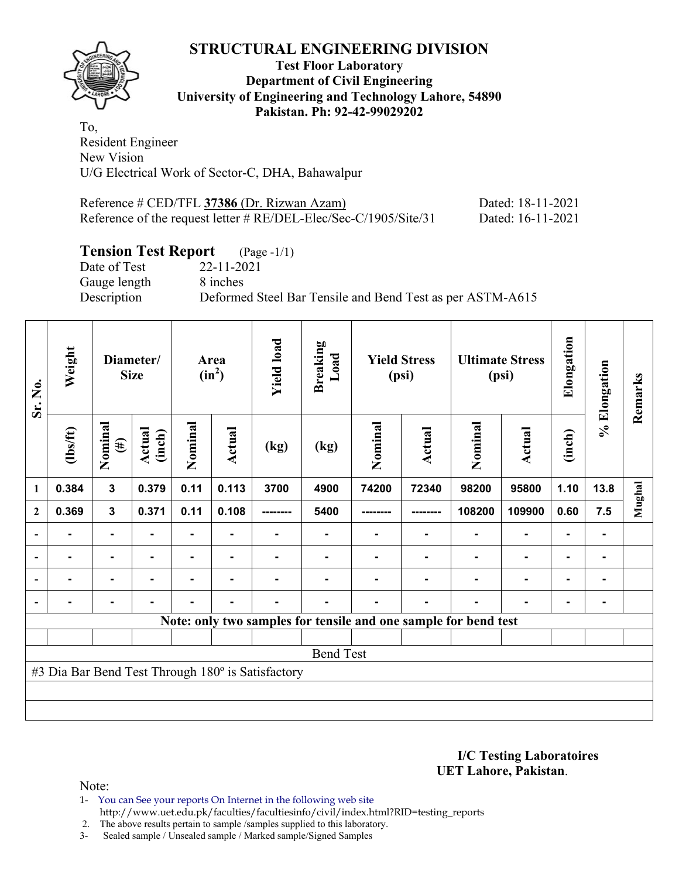

#### **Test Floor Laboratory Department of Civil Engineering University of Engineering and Technology Lahore, 54890 Pakistan. Ph: 92-42-99029202**

To, Resident Engineer New Vision U/G Electrical Work of Sector-C, DHA, Bahawalpur

| Reference # CED/TFL 37386 (Dr. Rizwan Azam)                      | Dated: 18-11-2021 |
|------------------------------------------------------------------|-------------------|
| Reference of the request letter # RE/DEL-Elec/Sec-C/1905/Site/31 | Dated: 16-11-2021 |

# **Tension Test Report** (Page -1/1)

Gauge length 8 inches

Date of Test 22-11-2021 Description Deformed Steel Bar Tensile and Bend Test as per ASTM-A615

| Weight<br>Sr. No.        |                | Diameter/<br><b>Size</b> |                  | Area<br>$(in^2)$ | <b>Yield load</b> | <b>Breaking</b><br>Load                           |                  | <b>Yield Stress</b><br>(psi) |        | <b>Ultimate Stress</b><br>(psi)                                 | Elongation     | % Elongation   | Remarks |        |
|--------------------------|----------------|--------------------------|------------------|------------------|-------------------|---------------------------------------------------|------------------|------------------------------|--------|-----------------------------------------------------------------|----------------|----------------|---------|--------|
|                          | $\frac{2}{10}$ | Nominal<br>$(\#)$        | Actual<br>(inch) | Nominal          | <b>Actual</b>     | (kg)                                              | (kg)             | Nominal                      | Actual | Nominal                                                         | Actual         | (inch)         |         |        |
| 1                        | 0.384          | $\mathbf{3}$             | 0.379            | 0.11             | 0.113             | 3700                                              | 4900             | 74200                        | 72340  | 98200                                                           | 95800          | 1.10           | 13.8    | Mughal |
| $\mathbf{2}$             | 0.369          | $\mathbf{3}$             | 0.371            | 0.11             | 0.108             |                                                   | 5400             |                              |        | 108200                                                          | 109900         | 0.60           | 7.5     |        |
| $\overline{\phantom{0}}$ |                |                          |                  |                  |                   |                                                   |                  |                              |        |                                                                 |                |                | ۰.      |        |
|                          |                | $\blacksquare$           | -                |                  | ٠                 |                                                   |                  |                              |        |                                                                 |                |                | ۰.      |        |
|                          | $\blacksquare$ | $\blacksquare$           |                  | $\blacksquare$   | ٠                 |                                                   |                  |                              |        |                                                                 | $\blacksquare$ | $\blacksquare$ | ۰       |        |
|                          |                | $\blacksquare$           |                  | $\blacksquare$   | ٠                 |                                                   |                  |                              |        |                                                                 | $\blacksquare$ | $\blacksquare$ | ۰       |        |
|                          |                |                          |                  |                  |                   |                                                   |                  |                              |        | Note: only two samples for tensile and one sample for bend test |                |                |         |        |
|                          |                |                          |                  |                  |                   |                                                   |                  |                              |        |                                                                 |                |                |         |        |
|                          |                |                          |                  |                  |                   |                                                   | <b>Bend Test</b> |                              |        |                                                                 |                |                |         |        |
|                          |                |                          |                  |                  |                   | #3 Dia Bar Bend Test Through 180° is Satisfactory |                  |                              |        |                                                                 |                |                |         |        |
|                          |                |                          |                  |                  |                   |                                                   |                  |                              |        |                                                                 |                |                |         |        |
|                          |                |                          |                  |                  |                   |                                                   |                  |                              |        |                                                                 |                |                |         |        |

**I/C Testing Laboratoires UET Lahore, Pakistan**.

Note:

1- You can See your reports On Internet in the following web site http://www.uet.edu.pk/faculties/facultiesinfo/civil/index.html?RID=testing\_reports

2. The above results pertain to sample /samples supplied to this laboratory.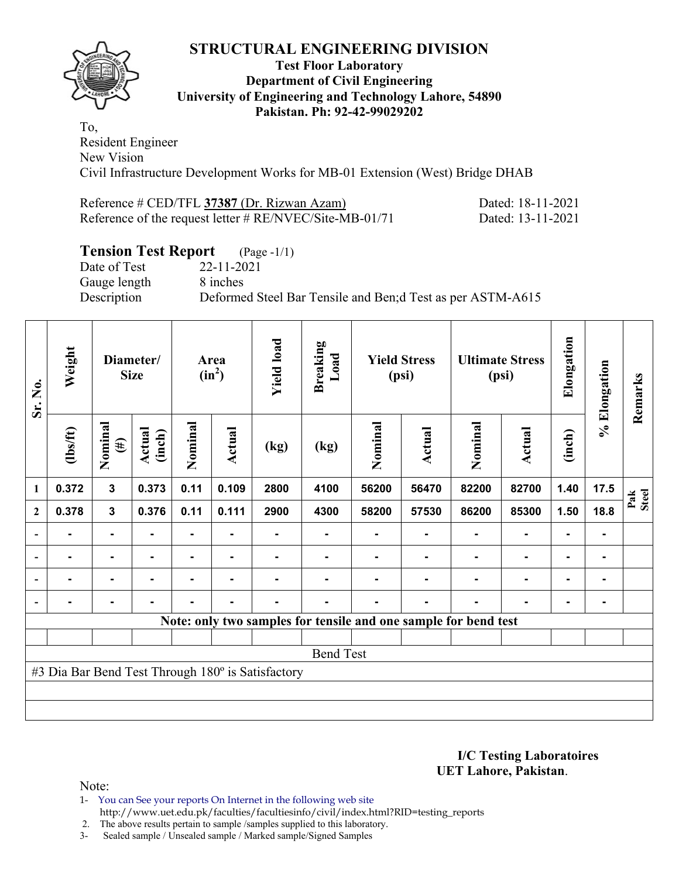

#### **Test Floor Laboratory Department of Civil Engineering University of Engineering and Technology Lahore, 54890 Pakistan. Ph: 92-42-99029202**

To, Resident Engineer New Vision Civil Infrastructure Development Works for MB-01 Extension (West) Bridge DHAB

| Reference # CED/TFL 37387 (Dr. Rizwan Azam)                | Dated: 18-11-2021 |
|------------------------------------------------------------|-------------------|
| Reference of the request letter $\# RE/NVEC/Site-MB-01/71$ | Dated: 13-11-2021 |

# **Tension Test Report** (Page -1/1)

Gauge length 8 inches

Date of Test 22-11-2021 Description Deformed Steel Bar Tensile and Ben;d Test as per ASTM-A615

| Sr. No.      | Weight         |                   | Diameter/<br><b>Size</b> |                | Area<br>$(in^2)$ | <b>Yield load</b>                                 | <b>Breaking</b><br>Load                                         |         | <b>Yield Stress</b><br>(psi) |         | <b>Ultimate Stress</b><br>(psi) | Elongation     | % Elongation | Remarks      |
|--------------|----------------|-------------------|--------------------------|----------------|------------------|---------------------------------------------------|-----------------------------------------------------------------|---------|------------------------------|---------|---------------------------------|----------------|--------------|--------------|
|              | $\frac{2}{10}$ | Nominal<br>$(\#)$ | Actual<br>(inch)         | Nominal        | Actual           | (kg)                                              | (kg)                                                            | Nominal | Actual                       | Nominal | <b>Actual</b>                   | (inch)         |              |              |
| 1            | 0.372          | $\mathbf 3$       | 0.373                    | 0.11           | 0.109            | 2800                                              | 4100                                                            | 56200   | 56470                        | 82200   | 82700                           | 1.40           | 17.5         | Pak<br>Steel |
| $\mathbf{2}$ | 0.378          | $\mathbf{3}$      | 0.376                    | 0.11           | 0.111            | 2900                                              | 4300                                                            | 58200   | 57530                        | 86200   | 85300                           | 1.50           | 18.8         |              |
|              |                |                   |                          |                |                  |                                                   |                                                                 |         |                              |         |                                 |                | ۰            |              |
|              |                | $\blacksquare$    | -                        |                | ۰.               |                                                   |                                                                 |         |                              |         |                                 |                | ۰.           |              |
|              | $\blacksquare$ | $\blacksquare$    |                          | $\blacksquare$ | ٠                |                                                   |                                                                 |         |                              |         | $\blacksquare$                  | ۰              | ۰            |              |
|              |                | $\blacksquare$    |                          | $\blacksquare$ | ٠                |                                                   |                                                                 |         |                              |         |                                 | $\blacksquare$ | ۰            |              |
|              |                |                   |                          |                |                  |                                                   | Note: only two samples for tensile and one sample for bend test |         |                              |         |                                 |                |              |              |
|              |                |                   |                          |                |                  |                                                   |                                                                 |         |                              |         |                                 |                |              |              |
|              |                |                   |                          |                |                  |                                                   | <b>Bend Test</b>                                                |         |                              |         |                                 |                |              |              |
|              |                |                   |                          |                |                  | #3 Dia Bar Bend Test Through 180° is Satisfactory |                                                                 |         |                              |         |                                 |                |              |              |
|              |                |                   |                          |                |                  |                                                   |                                                                 |         |                              |         |                                 |                |              |              |
|              |                |                   |                          |                |                  |                                                   |                                                                 |         |                              |         |                                 |                |              |              |

**I/C Testing Laboratoires UET Lahore, Pakistan**.

Note:

1- You can See your reports On Internet in the following web site http://www.uet.edu.pk/faculties/facultiesinfo/civil/index.html?RID=testing\_reports

2. The above results pertain to sample /samples supplied to this laboratory.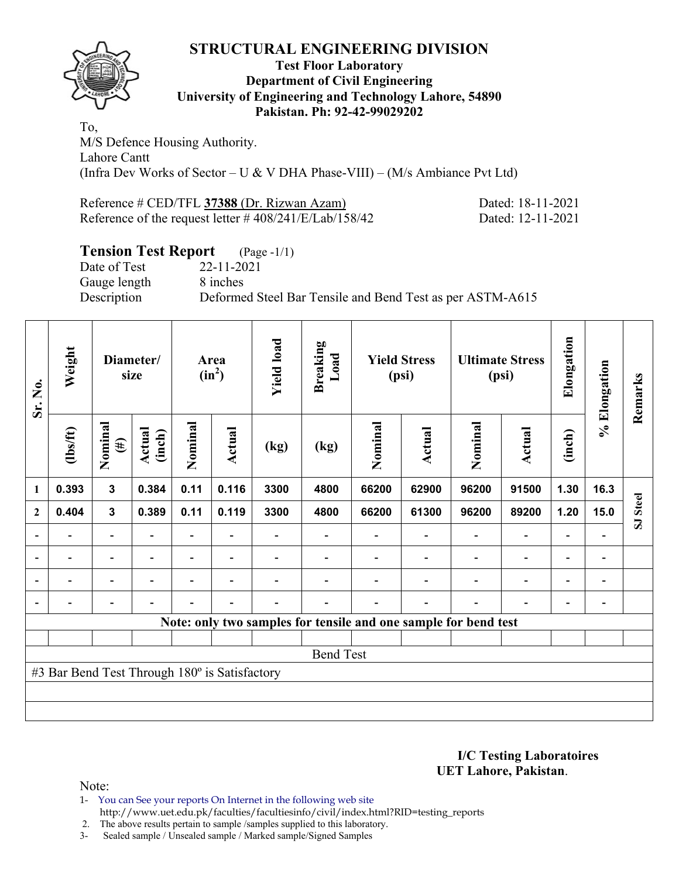

### **Test Floor Laboratory Department of Civil Engineering University of Engineering and Technology Lahore, 54890 Pakistan. Ph: 92-42-99029202**

To, M/S Defence Housing Authority. Lahore Cantt (Infra Dev Works of Sector – U & V DHA Phase-VIII) – (M/s Ambiance Pvt Ltd)

| Reference # CED/TFL 37388 (Dr. Rizwan Azam)               | Dated: 18-11-2021 |
|-----------------------------------------------------------|-------------------|
| Reference of the request letter $\# 408/241/E/Lab/158/42$ | Dated: 12-11-2021 |

# **Tension Test Report** (Page -1/1)

Gauge length 8 inches

Date of Test 22-11-2021 Description Deformed Steel Bar Tensile and Bend Test as per ASTM-A615

| Sr. No.                  | Weight                                        |                                                                  | Diameter/<br>size        | Area<br>$(in^2)$         |                          | <b>Yield load</b>        | <b>Breaking</b><br>Load |         | <b>Yield Stress</b><br>(psi) |                                                                 | <b>Ultimate Stress</b><br>(psi) | Elongation               | % Elongation                 | Remarks  |
|--------------------------|-----------------------------------------------|------------------------------------------------------------------|--------------------------|--------------------------|--------------------------|--------------------------|-------------------------|---------|------------------------------|-----------------------------------------------------------------|---------------------------------|--------------------------|------------------------------|----------|
|                          | $\frac{2}{10}$                                | Nominal<br>Actual<br>(inch)<br>$(\#)$<br>$\overline{\mathbf{3}}$ |                          | Nominal                  | <b>Actual</b>            | (kg)                     | (kg)                    | Nominal | Actual                       | Nominal                                                         | <b>Actual</b>                   | (inch)                   |                              |          |
| $\mathbf{1}$             | 0.393                                         |                                                                  | 0.384                    | 0.11                     | 0.116                    | 3300                     | 4800                    | 66200   | 62900                        | 96200                                                           | 91500                           | 1.30                     | 16.3                         |          |
| $\mathbf{2}$             | 0.404                                         | $\mathbf{3}$                                                     | 0.389                    | 0.11                     | 0.119                    | 3300                     | 4800                    | 66200   | 61300                        | 96200                                                           | 89200                           | 1.20                     | 15.0                         | SJ Steel |
|                          |                                               | $\overline{\phantom{0}}$                                         |                          |                          |                          |                          |                         |         |                              |                                                                 | $\overline{\phantom{0}}$        | $\overline{\phantom{0}}$ |                              |          |
| $\overline{\phantom{a}}$ | $\overline{\phantom{0}}$                      | $\blacksquare$                                                   | $\overline{\phantom{a}}$ | $\overline{\phantom{0}}$ | $\overline{\phantom{a}}$ | $\overline{\phantom{0}}$ |                         |         | $\overline{\phantom{a}}$     | $\overline{\phantom{a}}$                                        | $\overline{\phantom{a}}$        | $\overline{\phantom{a}}$ | $\overline{\phantom{a}}$     |          |
| $\overline{\phantom{0}}$ | -                                             | $\overline{\phantom{0}}$                                         | $\overline{\phantom{0}}$ | -                        | $\overline{\phantom{0}}$ |                          |                         |         |                              | ٠                                                               | $\overline{\phantom{0}}$        | $\overline{\phantom{0}}$ | $\qquad \qquad \blacksquare$ |          |
|                          | -                                             | Ξ.                                                               | $\overline{\phantom{0}}$ | $\blacksquare$           | $\overline{\phantom{a}}$ | $\overline{a}$           |                         |         | $\overline{\phantom{0}}$     | $\blacksquare$                                                  | $\blacksquare$                  | $\overline{\phantom{a}}$ | $\qquad \qquad \blacksquare$ |          |
|                          |                                               |                                                                  |                          |                          |                          |                          |                         |         |                              | Note: only two samples for tensile and one sample for bend test |                                 |                          |                              |          |
|                          |                                               |                                                                  |                          |                          |                          |                          |                         |         |                              |                                                                 |                                 |                          |                              |          |
|                          |                                               |                                                                  |                          |                          |                          |                          | <b>Bend Test</b>        |         |                              |                                                                 |                                 |                          |                              |          |
|                          | #3 Bar Bend Test Through 180° is Satisfactory |                                                                  |                          |                          |                          |                          |                         |         |                              |                                                                 |                                 |                          |                              |          |
|                          |                                               |                                                                  |                          |                          |                          |                          |                         |         |                              |                                                                 |                                 |                          |                              |          |
|                          |                                               |                                                                  |                          |                          |                          |                          |                         |         |                              |                                                                 |                                 |                          |                              |          |

**I/C Testing Laboratoires UET Lahore, Pakistan**.

Note:

1- You can See your reports On Internet in the following web site http://www.uet.edu.pk/faculties/facultiesinfo/civil/index.html?RID=testing\_reports

2. The above results pertain to sample /samples supplied to this laboratory.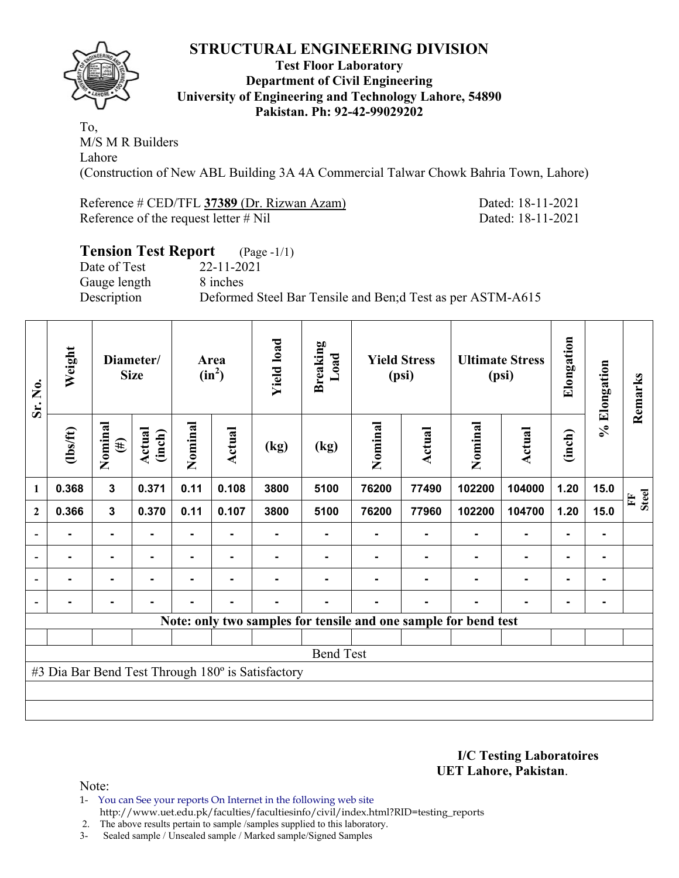

#### **Test Floor Laboratory Department of Civil Engineering University of Engineering and Technology Lahore, 54890 Pakistan. Ph: 92-42-99029202**

To, M/S M R Builders Lahore (Construction of New ABL Building 3A 4A Commercial Talwar Chowk Bahria Town, Lahore)

Reference # CED/TFL **37389** (Dr. Rizwan Azam) Dated: 18-11-2021 Reference of the request letter # Nil Dated: 18-11-2021

### **Tension Test Report** (Page -1/1) Date of Test 22-11-2021 Gauge length 8 inches Description Deformed Steel Bar Tensile and Ben;d Test as per ASTM-A615

| Sr. No.                      | Weight |                   | Diameter/<br><b>Size</b> |         | Area<br>$(in^2)$ | <b>Yield load</b>                                 | <b>Breaking</b><br>Load |         | <b>Yield Stress</b><br>(psi) |                                                                 | <b>Ultimate Stress</b><br>(psi) | Elongation     | % Elongation | Remarks                      |
|------------------------------|--------|-------------------|--------------------------|---------|------------------|---------------------------------------------------|-------------------------|---------|------------------------------|-----------------------------------------------------------------|---------------------------------|----------------|--------------|------------------------------|
| $\frac{2}{10}$<br>0.368<br>1 |        | Nominal<br>$(\#)$ | Actual<br>(inch)         | Nominal | Actual           | (kg)                                              | (kg)                    | Nominal | Actual                       | Nominal                                                         | Actual                          | (inch)         |              |                              |
|                              |        | 3                 | 0.371                    | 0.11    | 0.108            | 3800                                              | 5100                    | 76200   | 77490                        | 102200                                                          | 104000                          | 1.20           | 15.0         | <b>Steel</b><br>$\mathbf{F}$ |
| $\mathbf{2}$                 | 0.366  | $\mathbf{3}$      | 0.370                    | 0.11    | 0.107            | 3800                                              | 5100                    | 76200   | 77960                        | 102200                                                          | 104700                          | 1.20           | 15.0         |                              |
| $\overline{\phantom{a}}$     |        | Ξ.                |                          |         |                  |                                                   |                         |         |                              |                                                                 |                                 |                |              |                              |
| $\overline{\phantom{a}}$     | Ξ.     | ٠.                |                          |         |                  |                                                   |                         |         |                              |                                                                 | $\blacksquare$                  | $\blacksquare$ |              |                              |
| $\overline{\phantom{a}}$     |        | ۰                 |                          |         | $\blacksquare$   |                                                   |                         |         |                              |                                                                 | $\blacksquare$                  | $\blacksquare$ |              |                              |
|                              |        | $\blacksquare$    |                          | Ξ.      | $\blacksquare$   | Ξ.                                                |                         |         | $\blacksquare$               |                                                                 | $\blacksquare$                  | $\blacksquare$ |              |                              |
|                              |        |                   |                          |         |                  |                                                   |                         |         |                              | Note: only two samples for tensile and one sample for bend test |                                 |                |              |                              |
|                              |        |                   |                          |         |                  |                                                   |                         |         |                              |                                                                 |                                 |                |              |                              |
|                              |        |                   |                          |         |                  |                                                   | <b>Bend Test</b>        |         |                              |                                                                 |                                 |                |              |                              |
|                              |        |                   |                          |         |                  | #3 Dia Bar Bend Test Through 180° is Satisfactory |                         |         |                              |                                                                 |                                 |                |              |                              |
|                              |        |                   |                          |         |                  |                                                   |                         |         |                              |                                                                 |                                 |                |              |                              |
|                              |        |                   |                          |         |                  |                                                   |                         |         |                              |                                                                 |                                 |                |              |                              |

**I/C Testing Laboratoires UET Lahore, Pakistan**.

Note:

1- You can See your reports On Internet in the following web site http://www.uet.edu.pk/faculties/facultiesinfo/civil/index.html?RID=testing\_reports

2. The above results pertain to sample /samples supplied to this laboratory.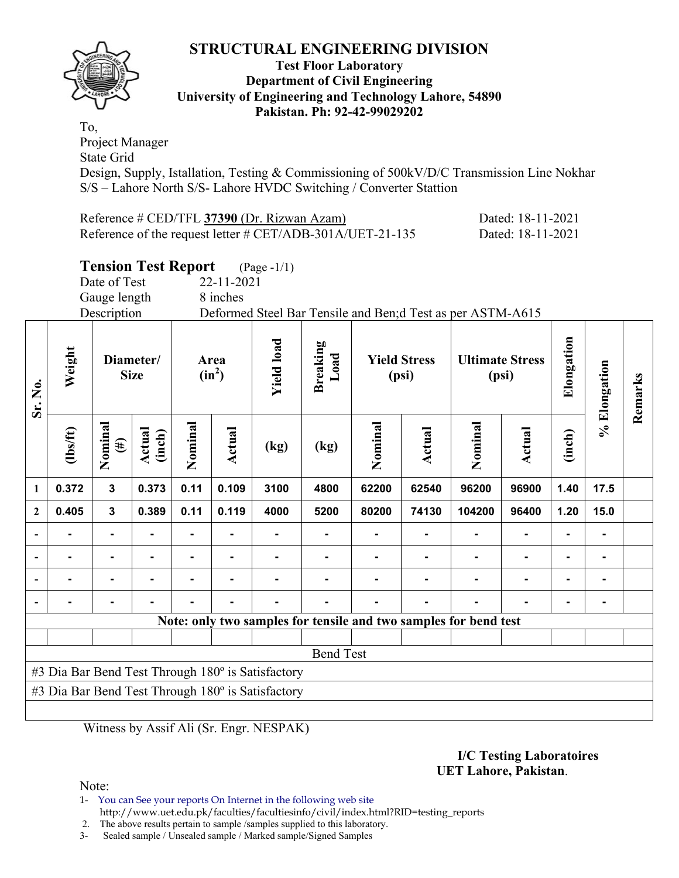

#### **Test Floor Laboratory Department of Civil Engineering University of Engineering and Technology Lahore, 54890 Pakistan. Ph: 92-42-99029202**

To, Project Manager State Grid

Design, Supply, Istallation, Testing & Commissioning of 500kV/D/C Transmission Line Nokhar S/S – Lahore North S/S- Lahore HVDC Switching / Converter Stattion

| Reference # CED/TFL 37390 (Dr. Rizwan Azam)                                                         | Dated: 18-11-2021 |
|-----------------------------------------------------------------------------------------------------|-------------------|
| Reference of the request letter $\# \text{CET} / \text{ADB} - 301 \text{A} / \text{UET} - 21 - 135$ | Dated: 18-11-2021 |

# **Tension Test Report** (Page -1/1)

Gauge length 8 inches

Date of Test 22-11-2021

Description Deformed Steel Bar Tensile and Ben;d Test as per ASTM-A615

| Sr. No.      | Weight         |                   | Diameter/<br><b>Size</b> |         | Area<br>$(in^2)$                                  | <b>Yield load</b>                                 | <b>Breaking</b><br>Load | <b>Yield Stress</b><br>(psi) |        |                                                                  | <b>Ultimate Stress</b><br>(psi) | Elongation     | % Elongation | Remarks |  |
|--------------|----------------|-------------------|--------------------------|---------|---------------------------------------------------|---------------------------------------------------|-------------------------|------------------------------|--------|------------------------------------------------------------------|---------------------------------|----------------|--------------|---------|--|
|              | $\frac{2}{10}$ | Nominal<br>$(\#)$ | Actual<br>(inch)         | Nominal | <b>Actual</b>                                     | (kg)                                              | (kg)                    | Nominal                      | Actual | Nominal                                                          | Actual                          | (inch)         |              |         |  |
| $\mathbf{1}$ | 0.372          | $\mathbf{3}$      | 0.373                    | 0.11    | 0.109                                             | 3100                                              | 4800                    | 62200                        | 62540  | 96200                                                            | 96900                           | 1.40           | 17.5         |         |  |
| $\mathbf{2}$ | 0.405          | 3                 | 0.389                    | 0.11    | 0.119                                             | 4000                                              | 5200                    | 80200                        | 74130  | 104200                                                           | 96400                           | 1.20           | 15.0         |         |  |
|              |                |                   |                          |         |                                                   |                                                   |                         |                              |        |                                                                  |                                 |                |              |         |  |
|              |                |                   |                          |         |                                                   |                                                   |                         |                              |        |                                                                  |                                 | $\blacksquare$ |              |         |  |
|              |                | $\blacksquare$    |                          |         | $\blacksquare$                                    |                                                   |                         |                              |        | ۰                                                                | $\blacksquare$                  | ۰              |              |         |  |
|              |                |                   |                          |         |                                                   |                                                   |                         |                              |        |                                                                  |                                 | -              |              |         |  |
|              |                |                   |                          |         |                                                   |                                                   |                         |                              |        | Note: only two samples for tensile and two samples for bend test |                                 |                |              |         |  |
|              |                |                   |                          |         |                                                   |                                                   |                         |                              |        |                                                                  |                                 |                |              |         |  |
|              |                |                   |                          |         |                                                   |                                                   | <b>Bend Test</b>        |                              |        |                                                                  |                                 |                |              |         |  |
|              |                |                   |                          |         |                                                   | #3 Dia Bar Bend Test Through 180° is Satisfactory |                         |                              |        |                                                                  |                                 |                |              |         |  |
|              |                |                   |                          |         |                                                   |                                                   |                         |                              |        |                                                                  |                                 |                |              |         |  |
|              |                |                   |                          |         | #3 Dia Bar Bend Test Through 180° is Satisfactory |                                                   |                         |                              |        |                                                                  |                                 |                |              |         |  |

Witness by Assif Ali (Sr. Engr. NESPAK)

#### **I/C Testing Laboratoires UET Lahore, Pakistan**.

Note:

1- You can See your reports On Internet in the following web site http://www.uet.edu.pk/faculties/facultiesinfo/civil/index.html?RID=testing\_reports

2. The above results pertain to sample /samples supplied to this laboratory.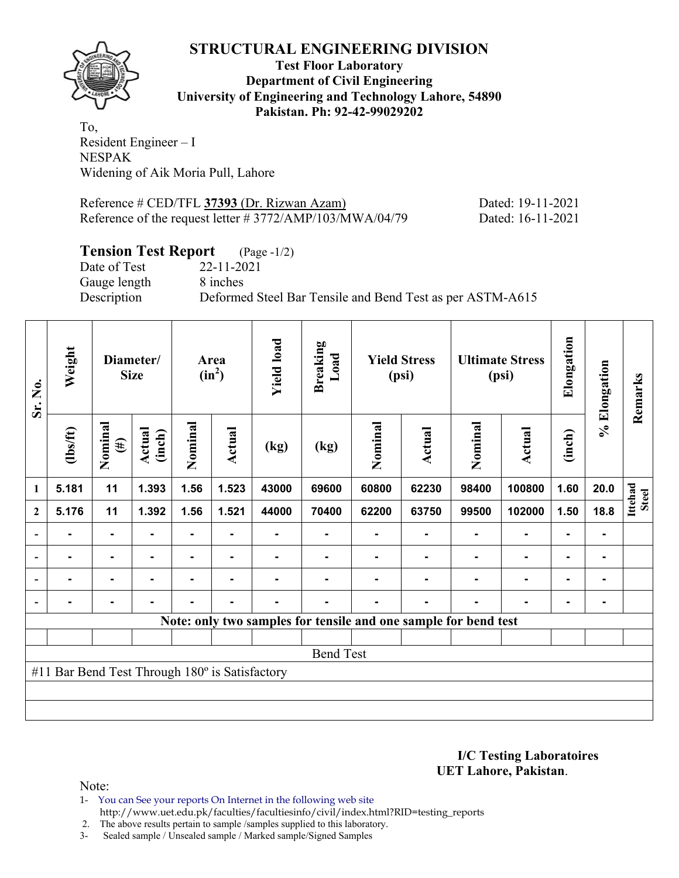

**Test Floor Laboratory Department of Civil Engineering University of Engineering and Technology Lahore, 54890 Pakistan. Ph: 92-42-99029202** 

To, Resident Engineer – I NESPAK Widening of Aik Moria Pull, Lahore

Reference # CED/TFL **37393** (Dr. Rizwan Azam) Dated: 19-11-2021 Reference of the request letter # 3772/AMP/103/MWA/04/79 Dated: 16-11-2021

# **Tension Test Report** (Page -1/2)

Date of Test 22-11-2021 Gauge length 8 inches

Description Deformed Steel Bar Tensile and Bend Test as per ASTM-A615

| Sr. No.                  | Weight                                         |                      | <b>Size</b>      |         | Diameter/      |       |                                                                 |         |                |         | Area<br>$(in^2)$ | <b>Yield load</b> | <b>Breaking</b><br>Load | <b>Yield Stress</b><br>(psi) |  | <b>Ultimate Stress</b><br>(psi) |  | Elongation | % Elongation | Remarks |
|--------------------------|------------------------------------------------|----------------------|------------------|---------|----------------|-------|-----------------------------------------------------------------|---------|----------------|---------|------------------|-------------------|-------------------------|------------------------------|--|---------------------------------|--|------------|--------------|---------|
|                          | $\frac{2}{10}$                                 | Nominal<br>$\tag{H}$ | Actual<br>(inch) | Nominal | Actual         | (kg)  | (kg)                                                            | Nominal | Actual         | Nominal | Actual           | (inch)            |                         |                              |  |                                 |  |            |              |         |
| 1                        | 5.181                                          | 11                   | 1.393            | 1.56    | 1.523          | 43000 | 69600                                                           | 60800   | 62230          | 98400   | 100800           | 1.60              | 20.0                    | Ittehad<br><b>Steel</b>      |  |                                 |  |            |              |         |
| $\boldsymbol{2}$         | 5.176                                          | 11                   | 1.392            | 1.56    | 1.521          | 44000 | 70400                                                           | 62200   | 63750          | 99500   | 102000           | 1.50              | 18.8                    |                              |  |                                 |  |            |              |         |
| $\blacksquare$           |                                                | Ξ.                   |                  |         |                |       |                                                                 |         |                |         |                  |                   |                         |                              |  |                                 |  |            |              |         |
| $\overline{\phantom{a}}$ | Ξ.                                             | ۰                    |                  |         | $\blacksquare$ |       |                                                                 |         |                |         | ٠                | $\blacksquare$    |                         |                              |  |                                 |  |            |              |         |
| $\overline{\phantom{a}}$ |                                                | $\blacksquare$       |                  |         | $\blacksquare$ |       |                                                                 |         |                |         | $\blacksquare$   | ٠                 |                         |                              |  |                                 |  |            |              |         |
|                          | Ξ.                                             | ٠                    | -                | Ξ.      | $\blacksquare$ | Ξ.    |                                                                 |         | $\blacksquare$ |         | ۰                | $\blacksquare$    |                         |                              |  |                                 |  |            |              |         |
|                          |                                                |                      |                  |         |                |       | Note: only two samples for tensile and one sample for bend test |         |                |         |                  |                   |                         |                              |  |                                 |  |            |              |         |
|                          |                                                |                      |                  |         |                |       |                                                                 |         |                |         |                  |                   |                         |                              |  |                                 |  |            |              |         |
|                          |                                                |                      |                  |         |                |       | <b>Bend Test</b>                                                |         |                |         |                  |                   |                         |                              |  |                                 |  |            |              |         |
|                          | #11 Bar Bend Test Through 180° is Satisfactory |                      |                  |         |                |       |                                                                 |         |                |         |                  |                   |                         |                              |  |                                 |  |            |              |         |
|                          |                                                |                      |                  |         |                |       |                                                                 |         |                |         |                  |                   |                         |                              |  |                                 |  |            |              |         |
|                          |                                                |                      |                  |         |                |       |                                                                 |         |                |         |                  |                   |                         |                              |  |                                 |  |            |              |         |

**I/C Testing Laboratoires UET Lahore, Pakistan**.

Note:

1- You can See your reports On Internet in the following web site http://www.uet.edu.pk/faculties/facultiesinfo/civil/index.html?RID=testing\_reports

2. The above results pertain to sample /samples supplied to this laboratory.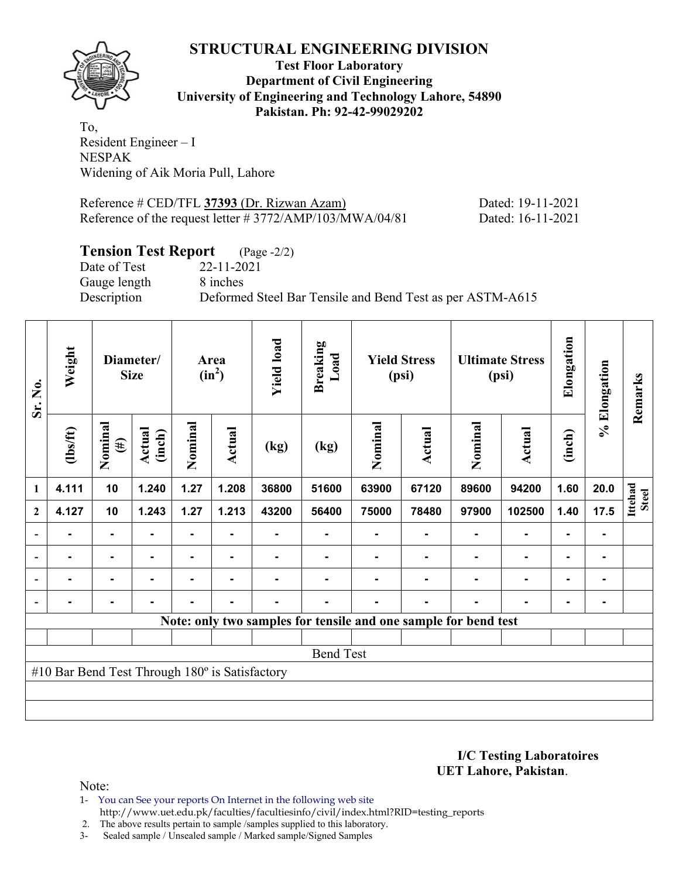

**Test Floor Laboratory Department of Civil Engineering University of Engineering and Technology Lahore, 54890 Pakistan. Ph: 92-42-99029202** 

To, Resident Engineer – I NESPAK Widening of Aik Moria Pull, Lahore

Reference # CED/TFL **37393** (Dr. Rizwan Azam) Dated: 19-11-2021 Reference of the request letter # 3772/AMP/103/MWA/04/81 Dated: 16-11-2021

## **Tension Test Report** (Page -2/2)

Date of Test 22-11-2021 Gauge length 8 inches

Description Deformed Steel Bar Tensile and Bend Test as per ASTM-A615

| Sr. No.                  | Weight                                                          |                   | Diameter/<br><b>Size</b> | Area<br>$(in^2)$ |                | <b>Yield load</b> | <b>Breaking</b><br>Load | <b>Yield Stress</b><br>(psi) |                | <b>Ultimate Stress</b><br>(psi) |                | Elongation     | % Elongation | Remarks          |
|--------------------------|-----------------------------------------------------------------|-------------------|--------------------------|------------------|----------------|-------------------|-------------------------|------------------------------|----------------|---------------------------------|----------------|----------------|--------------|------------------|
|                          | $\frac{2}{10}$                                                  | Nominal<br>$(\#)$ | Actual<br>(inch)         | Nominal          | Actual         | (kg)              | (kg)                    | Nominal                      | Actual         | Nominal                         | Actual         | (inch)         |              |                  |
| 1                        | 4.111                                                           | 10                | 1.240                    | 1.27             | 1.208          | 36800             | 51600                   | 63900                        | 67120          | 89600                           | 94200          | 1.60           | 20.0         | Ittehad<br>Steel |
| $\mathbf{2}$             | 4.127                                                           | 10                | 1.243                    | 1.27             | 1.213          | 43200             | 56400                   | 75000                        | 78480          | 97900                           | 102500         | 1.40           | 17.5         |                  |
| $\overline{\phantom{a}}$ |                                                                 | Ξ.                |                          |                  |                |                   |                         |                              |                |                                 |                |                |              |                  |
| $\overline{\phantom{a}}$ |                                                                 | ۰.                |                          |                  | $\blacksquare$ |                   |                         |                              |                |                                 | $\blacksquare$ | $\blacksquare$ |              |                  |
| $\overline{\phantom{0}}$ | Ξ.                                                              |                   |                          | -                | $\blacksquare$ |                   |                         |                              |                |                                 | ۰              | $\blacksquare$ |              |                  |
|                          |                                                                 | $\blacksquare$    |                          | Ξ.               | $\blacksquare$ | $\blacksquare$    |                         |                              | $\blacksquare$ |                                 | $\blacksquare$ | $\blacksquare$ |              |                  |
|                          | Note: only two samples for tensile and one sample for bend test |                   |                          |                  |                |                   |                         |                              |                |                                 |                |                |              |                  |
|                          |                                                                 |                   |                          |                  |                |                   |                         |                              |                |                                 |                |                |              |                  |
|                          |                                                                 |                   |                          |                  |                |                   | <b>Bend Test</b>        |                              |                |                                 |                |                |              |                  |
|                          | #10 Bar Bend Test Through 180° is Satisfactory                  |                   |                          |                  |                |                   |                         |                              |                |                                 |                |                |              |                  |
|                          |                                                                 |                   |                          |                  |                |                   |                         |                              |                |                                 |                |                |              |                  |
|                          |                                                                 |                   |                          |                  |                |                   |                         |                              |                |                                 |                |                |              |                  |

**I/C Testing Laboratoires UET Lahore, Pakistan**.

Note:

1- You can See your reports On Internet in the following web site http://www.uet.edu.pk/faculties/facultiesinfo/civil/index.html?RID=testing\_reports

2. The above results pertain to sample /samples supplied to this laboratory.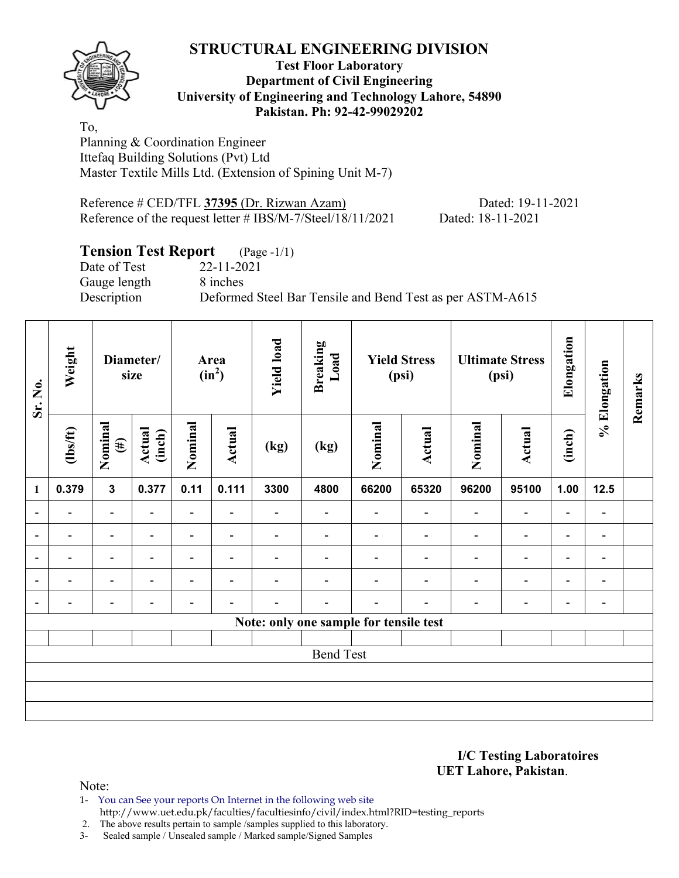**Test Floor Laboratory Department of Civil Engineering University of Engineering and Technology Lahore, 54890 Pakistan. Ph: 92-42-99029202** 

To, Planning & Coordination Engineer Ittefaq Building Solutions (Pvt) Ltd Master Textile Mills Ltd. (Extension of Spining Unit M-7)

Reference # CED/TFL **37395** (Dr. Rizwan Azam) Dated: 19-11-2021 Reference of the request letter # IBS/M-7/Steel/18/11/2021 Dated: 18-11-2021

# **Tension Test Report** (Page -1/1)

Date of Test 22-11-2021 Gauge length 8 inches

Description Deformed Steel Bar Tensile and Bend Test as per ASTM-A615

| Sr. No.                  | Weight                   |                          | Diameter/<br>size        |                          | <b>Yield load</b><br><b>Breaking</b><br>Load<br>Area<br>$(in^2)$ |                          |                          | <b>Yield Stress</b><br>(psi)           |                          | <b>Ultimate Stress</b><br>(psi) |                              | Elongation               | % Elongation                 | Remarks |
|--------------------------|--------------------------|--------------------------|--------------------------|--------------------------|------------------------------------------------------------------|--------------------------|--------------------------|----------------------------------------|--------------------------|---------------------------------|------------------------------|--------------------------|------------------------------|---------|
|                          | $\frac{2}{10}$           | Nominal<br>$(\#)$        | Actual<br>(inch)         | Nominal                  | <b>Actual</b>                                                    | (kg)                     | (kg)                     | Nominal                                | Actual                   | Nominal                         | Actual                       | (inch)                   |                              |         |
| $\mathbf{1}$             | 0.379                    | $\mathbf{3}$             | 0.377                    | 0.11                     | 0.111                                                            | 3300                     | 4800                     | 66200                                  | 65320                    | 96200                           | 95100                        | 1.00                     | $12.5$                       |         |
|                          | $\overline{\phantom{0}}$ | $\overline{\phantom{0}}$ |                          | Ξ.                       |                                                                  | $\overline{\phantom{0}}$ |                          |                                        | $\overline{\phantom{0}}$ | $\overline{\phantom{0}}$        | $\overline{\phantom{0}}$     | $\overline{\phantom{0}}$ |                              |         |
|                          | $\blacksquare$           | $\overline{\phantom{a}}$ |                          | $\overline{\phantom{0}}$ | ۰                                                                | $\overline{\phantom{0}}$ |                          |                                        | $\blacksquare$           | $\overline{\phantom{0}}$        | $\qquad \qquad \blacksquare$ | $\overline{\phantom{a}}$ |                              |         |
| $\overline{\phantom{0}}$ | $\overline{\phantom{0}}$ | $\overline{\phantom{a}}$ | $\overline{\phantom{0}}$ | $\overline{\phantom{0}}$ | $\blacksquare$                                                   | $\overline{\phantom{0}}$ | $\overline{\phantom{0}}$ |                                        | $\overline{\phantom{0}}$ | $\overline{\phantom{0}}$        | $\qquad \qquad \blacksquare$ | $\overline{\phantom{a}}$ | $\blacksquare$               |         |
|                          | $\blacksquare$           | $\overline{\phantom{0}}$ |                          | $\overline{\phantom{0}}$ | $\overline{\phantom{0}}$                                         |                          |                          |                                        |                          | $\blacksquare$                  | $\overline{\phantom{0}}$     | $\overline{\phantom{0}}$ | $\qquad \qquad \blacksquare$ |         |
| $\blacksquare$           | $\overline{\phantom{0}}$ | $\overline{\phantom{0}}$ |                          | $\overline{\phantom{a}}$ | ٠                                                                |                          | -                        |                                        |                          | ٠                               | $\qquad \qquad \blacksquare$ | $\overline{\phantom{a}}$ | $\blacksquare$               |         |
|                          |                          |                          |                          |                          |                                                                  |                          |                          | Note: only one sample for tensile test |                          |                                 |                              |                          |                              |         |
|                          |                          |                          |                          |                          |                                                                  |                          |                          |                                        |                          |                                 |                              |                          |                              |         |
|                          |                          |                          |                          |                          |                                                                  |                          | <b>Bend Test</b>         |                                        |                          |                                 |                              |                          |                              |         |
|                          |                          |                          |                          |                          |                                                                  |                          |                          |                                        |                          |                                 |                              |                          |                              |         |
|                          |                          |                          |                          |                          |                                                                  |                          |                          |                                        |                          |                                 |                              |                          |                              |         |
|                          |                          |                          |                          |                          |                                                                  |                          |                          |                                        |                          |                                 |                              |                          |                              |         |

**I/C Testing Laboratoires UET Lahore, Pakistan**.

Note:

1- You can See your reports On Internet in the following web site

http://www.uet.edu.pk/faculties/facultiesinfo/civil/index.html?RID=testing\_reports

2. The above results pertain to sample /samples supplied to this laboratory.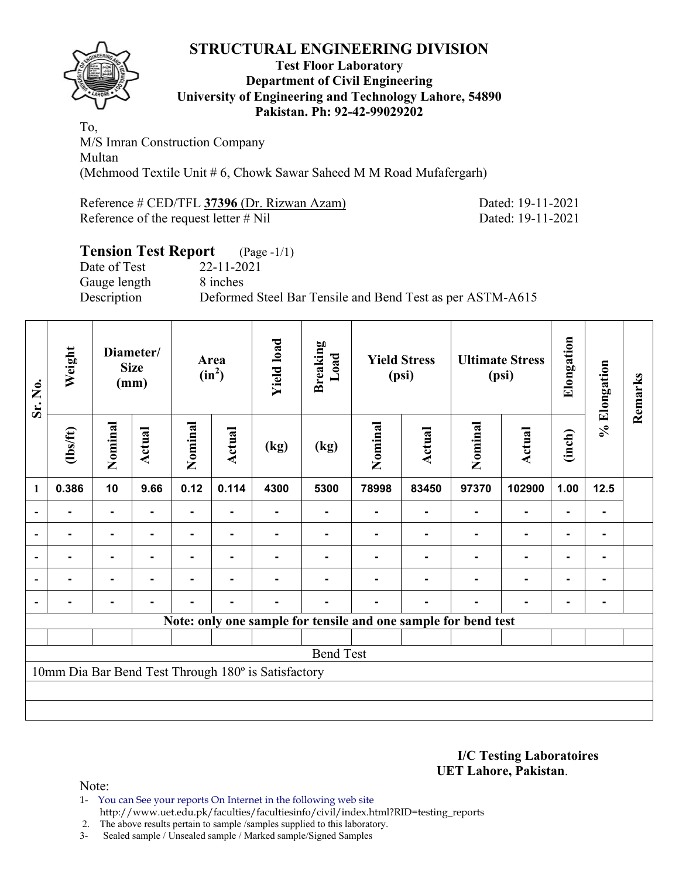

#### **Test Floor Laboratory Department of Civil Engineering University of Engineering and Technology Lahore, 54890 Pakistan. Ph: 92-42-99029202**

To, M/S Imran Construction Company Multan (Mehmood Textile Unit # 6, Chowk Sawar Saheed M M Road Mufafergarh)

Reference # CED/TFL **37396** (Dr. Rizwan Azam) Dated: 19-11-2021 Reference of the request letter # Nil Dated: 19-11-2021

## **Tension Test Report** (Page -1/1) Date of Test 22-11-2021 Gauge length 8 inches Description Deformed Steel Bar Tensile and Bend Test as per ASTM-A615

| Sr. No.                  | Weight                                                         |                | Diameter/<br><b>Size</b><br>(mm) |                |               |                                                     | Area<br>$(in^2)$ |         | <b>Breaking</b><br>Load | <b>Yield Stress</b><br>(psi) |                | <b>Ultimate Stress</b><br>(psi) |      | Elongation | % Elongation | Remarks |
|--------------------------|----------------------------------------------------------------|----------------|----------------------------------|----------------|---------------|-----------------------------------------------------|------------------|---------|-------------------------|------------------------------|----------------|---------------------------------|------|------------|--------------|---------|
|                          | $\frac{2}{10}$                                                 | Nominal        | <b>Actual</b>                    | Nominal        | <b>Actual</b> | (kg)                                                | (kg)             | Nominal | Actual                  | Nominal                      | Actual         | (inch)                          |      |            |              |         |
| 1                        | 0.386                                                          | 10             | 9.66                             | 0.12           | 0.114         | 4300                                                | 5300             | 78998   | 83450                   | 97370                        | 102900         | 1.00                            | 12.5 |            |              |         |
|                          |                                                                | ۰              |                                  |                |               |                                                     |                  |         |                         |                              |                |                                 |      |            |              |         |
| $\overline{\phantom{a}}$ |                                                                | ۰              |                                  |                |               |                                                     |                  |         |                         |                              |                |                                 |      |            |              |         |
| $\blacksquare$           |                                                                | ۰              | $\blacksquare$                   |                |               |                                                     |                  |         |                         |                              | $\blacksquare$ | $\blacksquare$                  |      |            |              |         |
| $\overline{\phantom{a}}$ | $\blacksquare$                                                 | $\blacksquare$ |                                  | $\blacksquare$ |               |                                                     |                  |         |                         |                              | ٠              | $\blacksquare$                  |      |            |              |         |
| $\blacksquare$           |                                                                | $\blacksquare$ |                                  | $\blacksquare$ | ٠             |                                                     |                  |         |                         |                              | $\blacksquare$ | ۰                               |      |            |              |         |
|                          | Note: only one sample for tensile and one sample for bend test |                |                                  |                |               |                                                     |                  |         |                         |                              |                |                                 |      |            |              |         |
|                          |                                                                |                |                                  |                |               |                                                     |                  |         |                         |                              |                |                                 |      |            |              |         |
|                          |                                                                |                |                                  |                |               |                                                     | <b>Bend Test</b> |         |                         |                              |                |                                 |      |            |              |         |
|                          |                                                                |                |                                  |                |               | 10mm Dia Bar Bend Test Through 180° is Satisfactory |                  |         |                         |                              |                |                                 |      |            |              |         |
|                          |                                                                |                |                                  |                |               |                                                     |                  |         |                         |                              |                |                                 |      |            |              |         |
|                          |                                                                |                |                                  |                |               |                                                     |                  |         |                         |                              |                |                                 |      |            |              |         |

**I/C Testing Laboratoires UET Lahore, Pakistan**.

Note:

- 1- You can See your reports On Internet in the following web site http://www.uet.edu.pk/faculties/facultiesinfo/civil/index.html?RID=testing\_reports
- 2. The above results pertain to sample /samples supplied to this laboratory.
- 3- Sealed sample / Unsealed sample / Marked sample/Signed Samples